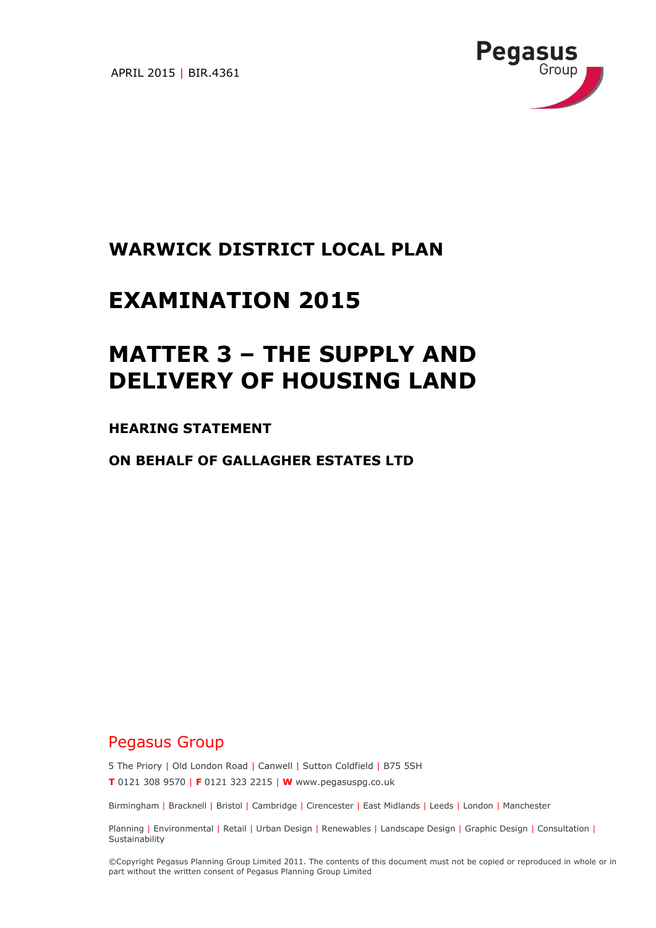APRIL 2015 | BIR.4361



## **WARWICK DISTRICT LOCAL PLAN**

## **EXAMINATION 2015**

# **MATTER 3 – THE SUPPLY AND DELIVERY OF HOUSING LAND**

#### **HEARING STATEMENT**

**ON BEHALF OF GALLAGHER ESTATES LTD**

### Pegasus Group

5 The Priory | Old London Road | Canwell | Sutton Coldfield | B75 5SH

**T** 0121 308 9570 | **F** 0121 323 2215 | **W** www.pegasuspg.co.uk

Birmingham | Bracknell | Bristol | Cambridge | Cirencester | East Midlands | Leeds | London | Manchester

Planning | Environmental | Retail | Urban Design | Renewables | Landscape Design | Graphic Design | Consultation | **Sustainability** 

©Copyright Pegasus Planning Group Limited 2011. The contents of this document must not be copied or reproduced in whole or in part without the written consent of Pegasus Planning Group Limited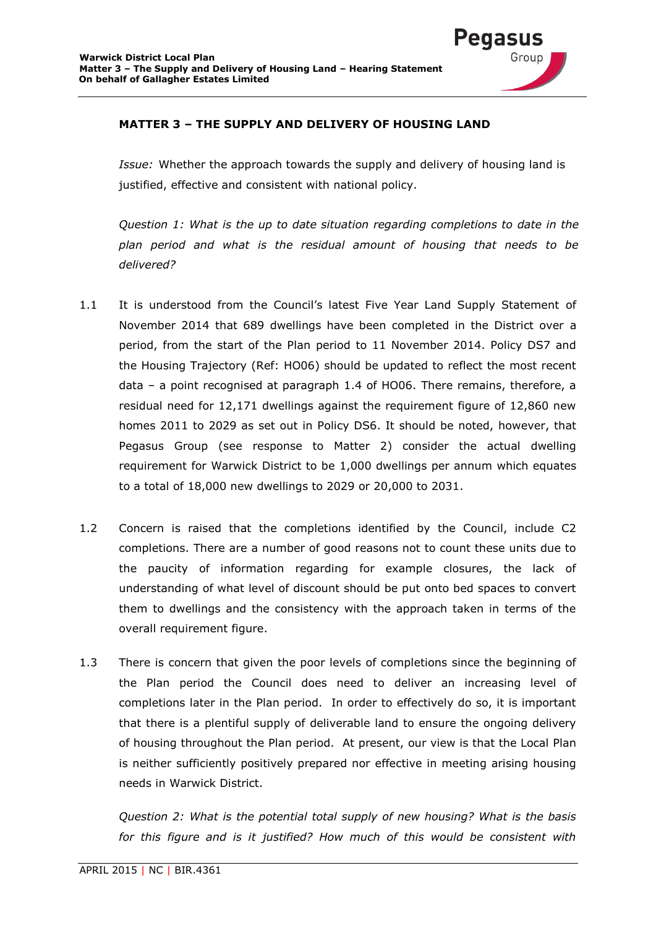

#### **MATTER 3 – THE SUPPLY AND DELIVERY OF HOUSING LAND**

*Issue:* Whether the approach towards the supply and delivery of housing land is justified, effective and consistent with national policy.

*Question 1: What is the up to date situation regarding completions to date in the plan period and what is the residual amount of housing that needs to be delivered?*

- 1.1 It is understood from the Council's latest Five Year Land Supply Statement of November 2014 that 689 dwellings have been completed in the District over a period, from the start of the Plan period to 11 November 2014. Policy DS7 and the Housing Trajectory (Ref: HO06) should be updated to reflect the most recent data – a point recognised at paragraph 1.4 of HO06. There remains, therefore, a residual need for 12,171 dwellings against the requirement figure of 12,860 new homes 2011 to 2029 as set out in Policy DS6. It should be noted, however, that Pegasus Group (see response to Matter 2) consider the actual dwelling requirement for Warwick District to be 1,000 dwellings per annum which equates to a total of 18,000 new dwellings to 2029 or 20,000 to 2031.
- 1.2 Concern is raised that the completions identified by the Council, include C2 completions. There are a number of good reasons not to count these units due to the paucity of information regarding for example closures, the lack of understanding of what level of discount should be put onto bed spaces to convert them to dwellings and the consistency with the approach taken in terms of the overall requirement figure.
- 1.3 There is concern that given the poor levels of completions since the beginning of the Plan period the Council does need to deliver an increasing level of completions later in the Plan period. In order to effectively do so, it is important that there is a plentiful supply of deliverable land to ensure the ongoing delivery of housing throughout the Plan period. At present, our view is that the Local Plan is neither sufficiently positively prepared nor effective in meeting arising housing needs in Warwick District.

*Question 2: What is the potential total supply of new housing? What is the basis*  for this figure and is it justified? How much of this would be consistent with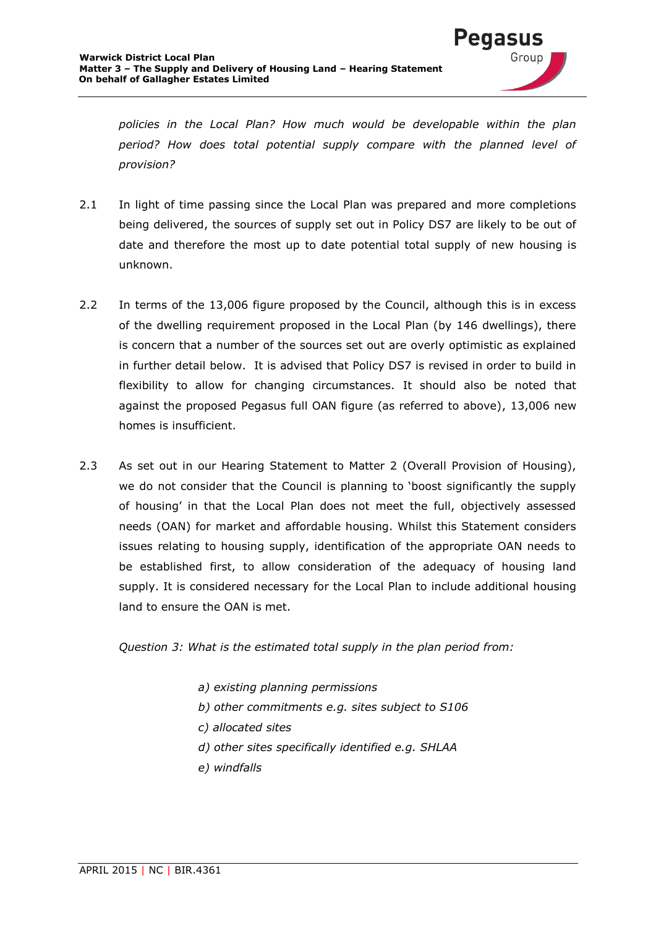

*policies in the Local Plan? How much would be developable within the plan period? How does total potential supply compare with the planned level of provision?*

- 2.1 In light of time passing since the Local Plan was prepared and more completions being delivered, the sources of supply set out in Policy DS7 are likely to be out of date and therefore the most up to date potential total supply of new housing is unknown.
- 2.2 In terms of the 13,006 figure proposed by the Council, although this is in excess of the dwelling requirement proposed in the Local Plan (by 146 dwellings), there is concern that a number of the sources set out are overly optimistic as explained in further detail below. It is advised that Policy DS7 is revised in order to build in flexibility to allow for changing circumstances. It should also be noted that against the proposed Pegasus full OAN figure (as referred to above), 13,006 new homes is insufficient.
- 2.3 As set out in our Hearing Statement to Matter 2 (Overall Provision of Housing), we do not consider that the Council is planning to 'boost significantly the supply of housing' in that the Local Plan does not meet the full, objectively assessed needs (OAN) for market and affordable housing. Whilst this Statement considers issues relating to housing supply, identification of the appropriate OAN needs to be established first, to allow consideration of the adequacy of housing land supply. It is considered necessary for the Local Plan to include additional housing land to ensure the OAN is met.

*Question 3: What is the estimated total supply in the plan period from:*

- *a) existing planning permissions*
- *b) other commitments e.g. sites subject to S106*
- *c) allocated sites*
- *d) other sites specifically identified e.g. SHLAA*
- *e) windfalls*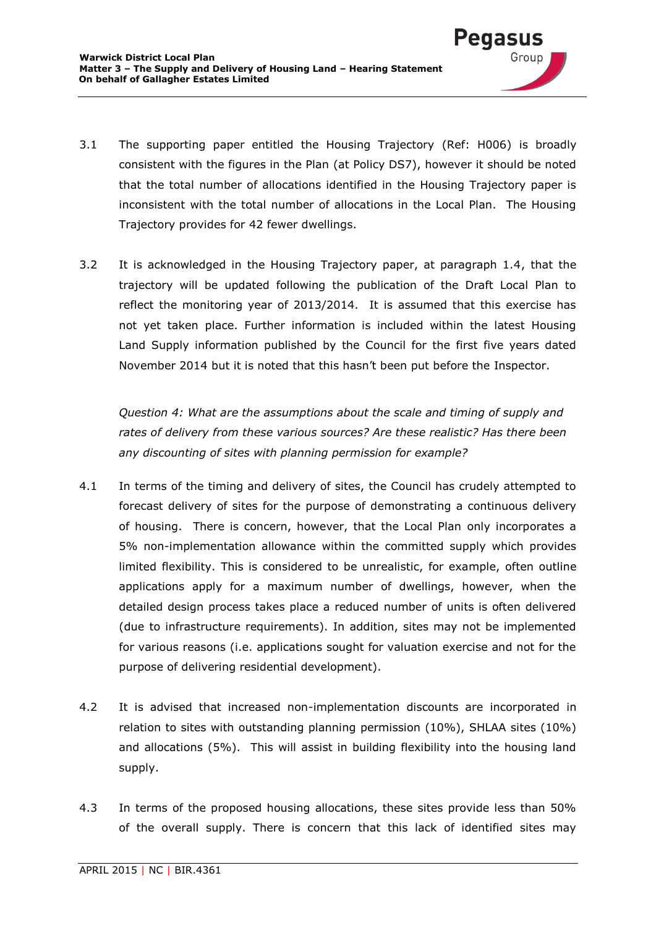

3.2 It is acknowledged in the Housing Trajectory paper, at paragraph 1.4, that the trajectory will be updated following the publication of the Draft Local Plan to reflect the monitoring year of 2013/2014. It is assumed that this exercise has not yet taken place. Further information is included within the latest Housing Land Supply information published by the Council for the first five years dated November 2014 but it is noted that this hasn't been put before the Inspector.

*Question 4: What are the assumptions about the scale and timing of supply and rates of delivery from these various sources? Are these realistic? Has there been any discounting of sites with planning permission for example?*

- 4.1 In terms of the timing and delivery of sites, the Council has crudely attempted to forecast delivery of sites for the purpose of demonstrating a continuous delivery of housing. There is concern, however, that the Local Plan only incorporates a 5% non-implementation allowance within the committed supply which provides limited flexibility. This is considered to be unrealistic, for example, often outline applications apply for a maximum number of dwellings, however, when the detailed design process takes place a reduced number of units is often delivered (due to infrastructure requirements). In addition, sites may not be implemented for various reasons (i.e. applications sought for valuation exercise and not for the purpose of delivering residential development).
- 4.2 It is advised that increased non-implementation discounts are incorporated in relation to sites with outstanding planning permission (10%), SHLAA sites (10%) and allocations (5%). This will assist in building flexibility into the housing land supply.
- 4.3 In terms of the proposed housing allocations, these sites provide less than 50% of the overall supply. There is concern that this lack of identified sites may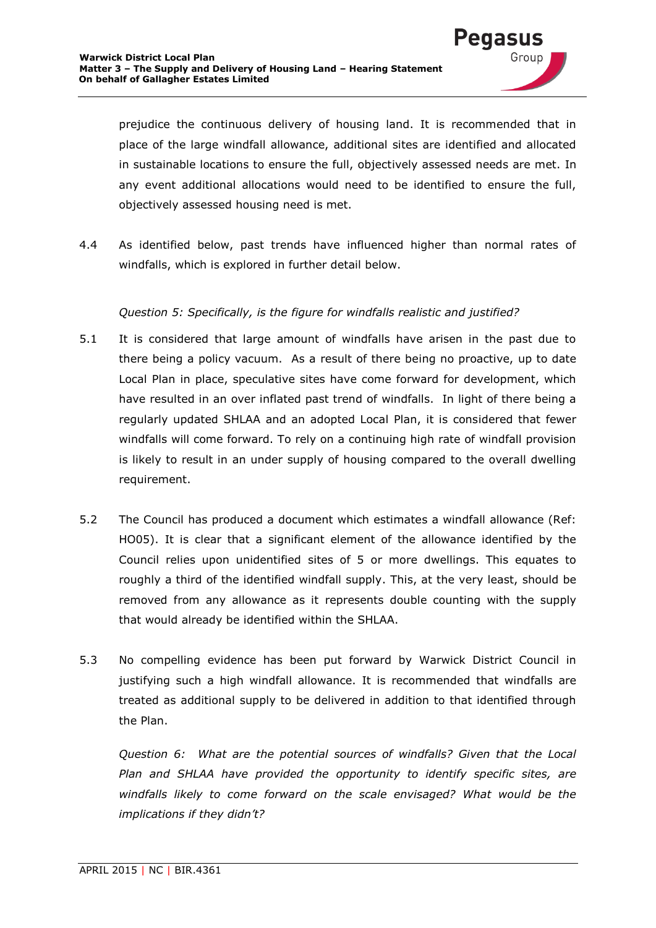

prejudice the continuous delivery of housing land. It is recommended that in place of the large windfall allowance, additional sites are identified and allocated in sustainable locations to ensure the full, objectively assessed needs are met. In any event additional allocations would need to be identified to ensure the full, objectively assessed housing need is met.

4.4 As identified below, past trends have influenced higher than normal rates of windfalls, which is explored in further detail below.

#### *Question 5: Specifically, is the figure for windfalls realistic and justified?*

- 5.1 It is considered that large amount of windfalls have arisen in the past due to there being a policy vacuum. As a result of there being no proactive, up to date Local Plan in place, speculative sites have come forward for development, which have resulted in an over inflated past trend of windfalls. In light of there being a regularly updated SHLAA and an adopted Local Plan, it is considered that fewer windfalls will come forward. To rely on a continuing high rate of windfall provision is likely to result in an under supply of housing compared to the overall dwelling requirement.
- 5.2 The Council has produced a document which estimates a windfall allowance (Ref: HO05). It is clear that a significant element of the allowance identified by the Council relies upon unidentified sites of 5 or more dwellings. This equates to roughly a third of the identified windfall supply. This, at the very least, should be removed from any allowance as it represents double counting with the supply that would already be identified within the SHLAA.
- 5.3 No compelling evidence has been put forward by Warwick District Council in justifying such a high windfall allowance. It is recommended that windfalls are treated as additional supply to be delivered in addition to that identified through the Plan.

*Question 6: What are the potential sources of windfalls? Given that the Local Plan and SHLAA have provided the opportunity to identify specific sites, are windfalls likely to come forward on the scale envisaged? What would be the implications if they didn't?*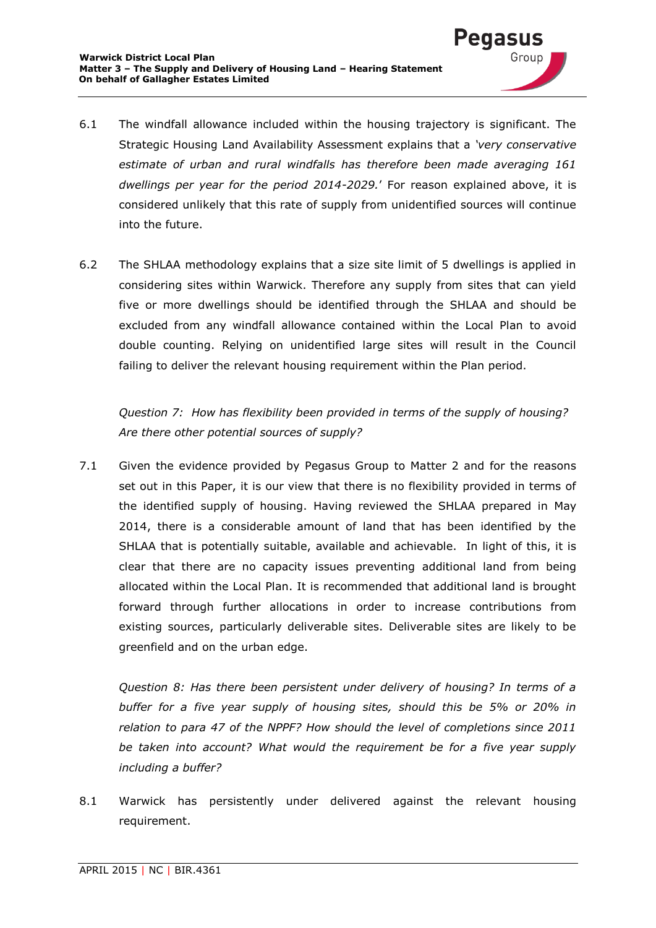

'egasi

Group

6.2 The SHLAA methodology explains that a size site limit of 5 dwellings is applied in considering sites within Warwick. Therefore any supply from sites that can yield five or more dwellings should be identified through the SHLAA and should be excluded from any windfall allowance contained within the Local Plan to avoid double counting. Relying on unidentified large sites will result in the Council failing to deliver the relevant housing requirement within the Plan period.

*Question 7: How has flexibility been provided in terms of the supply of housing? Are there other potential sources of supply?*

7.1 Given the evidence provided by Pegasus Group to Matter 2 and for the reasons set out in this Paper, it is our view that there is no flexibility provided in terms of the identified supply of housing. Having reviewed the SHLAA prepared in May 2014, there is a considerable amount of land that has been identified by the SHLAA that is potentially suitable, available and achievable. In light of this, it is clear that there are no capacity issues preventing additional land from being allocated within the Local Plan. It is recommended that additional land is brought forward through further allocations in order to increase contributions from existing sources, particularly deliverable sites. Deliverable sites are likely to be greenfield and on the urban edge.

*Question 8: Has there been persistent under delivery of housing? In terms of a buffer for a five year supply of housing sites, should this be 5% or 20% in relation to para 47 of the NPPF? How should the level of completions since 2011 be taken into account? What would the requirement be for a five year supply including a buffer?*

8.1 Warwick has persistently under delivered against the relevant housing requirement.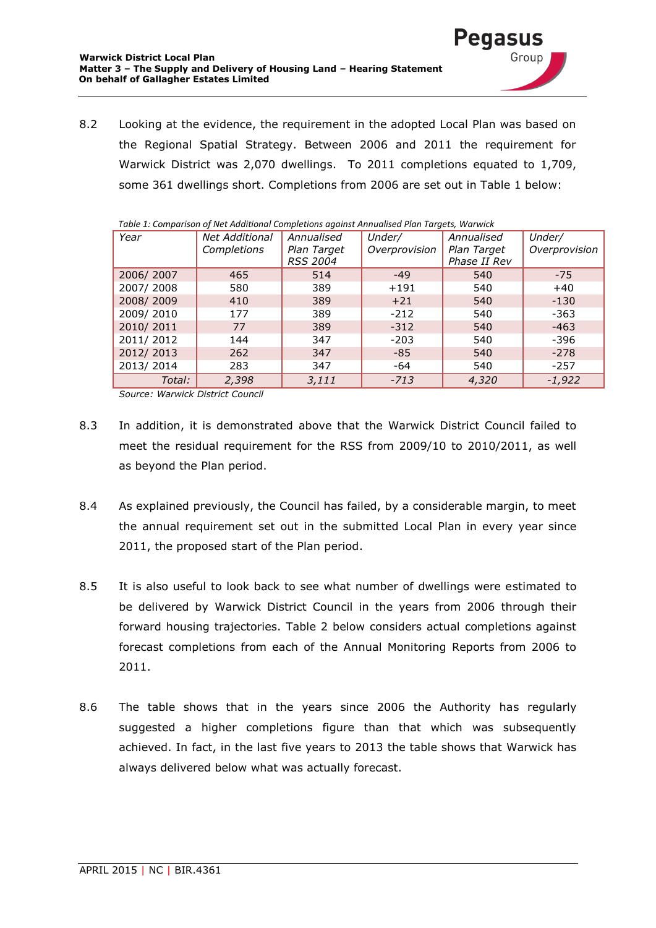8.2 Looking at the evidence, the requirement in the adopted Local Plan was based on the Regional Spatial Strategy. Between 2006 and 2011 the requirement for Warwick District was 2,070 dwellings. To 2011 completions equated to 1,709, some 361 dwellings short. Completions from 2006 are set out in Table 1 below:

euasi

| rabic 1. Companion of Net Additional Compietions against Almadisea Han Targets, Warwick |                       |                 |               |              |               |  |
|-----------------------------------------------------------------------------------------|-----------------------|-----------------|---------------|--------------|---------------|--|
| Year                                                                                    | <b>Net Additional</b> | Annualised      | Under/        | Annualised   | Under/        |  |
|                                                                                         | Completions           | Plan Target     | Overprovision | Plan Target  | Overprovision |  |
|                                                                                         |                       | <b>RSS 2004</b> |               | Phase II Rev |               |  |
| 2006/2007                                                                               | 465                   | 514             | $-49$         | 540          | $-75$         |  |
| 2007/2008                                                                               | 580                   | 389             | $+191$        | 540          | $+40$         |  |
| 2008/2009                                                                               | 410                   | 389             | $+21$         | 540          | $-130$        |  |
| 2009/2010                                                                               | 177                   | 389             | $-212$        | 540          | $-363$        |  |
| 2010/2011                                                                               | 77                    | 389             | $-312$        | 540          | $-463$        |  |
| 2011/2012                                                                               | 144                   | 347             | $-203$        | 540          | $-396$        |  |
| 2012/2013                                                                               | 262                   | 347             | $-85$         | 540          | $-278$        |  |
| 2013/2014                                                                               | 283                   | 347             | -64           | 540          | $-257$        |  |
| Total:                                                                                  | 2,398                 | 3,111           | $-713$        | 4,320        | $-1,922$      |  |

|  | Table 1: Comparison of Net Additional Completions against Annualised Plan Targets, Warwick |  |
|--|--------------------------------------------------------------------------------------------|--|
|  |                                                                                            |  |

*Source: Warwick District Council*

- 8.3 In addition, it is demonstrated above that the Warwick District Council failed to meet the residual requirement for the RSS from 2009/10 to 2010/2011, as well as beyond the Plan period.
- 8.4 As explained previously, the Council has failed, by a considerable margin, to meet the annual requirement set out in the submitted Local Plan in every year since 2011, the proposed start of the Plan period.
- 8.5 It is also useful to look back to see what number of dwellings were estimated to be delivered by Warwick District Council in the years from 2006 through their forward housing trajectories. Table 2 below considers actual completions against forecast completions from each of the Annual Monitoring Reports from 2006 to 2011.
- 8.6 The table shows that in the years since 2006 the Authority has regularly suggested a higher completions figure than that which was subsequently achieved. In fact, in the last five years to 2013 the table shows that Warwick has always delivered below what was actually forecast.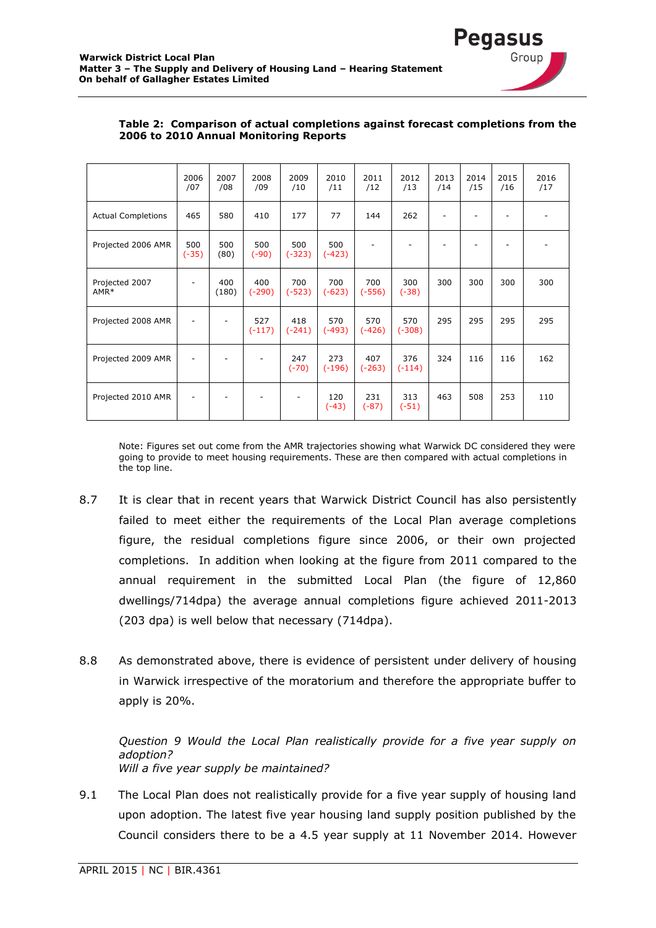

|                                    | 2006<br>/07    | 2007<br>/08  | 2008<br>/09     | 2009<br>/10     | 2010<br>/11     | 2011<br>/12     | 2012<br>/13     | 2013<br>/14 | 2014<br>/15 | 2015<br>/16 | 2016<br>/17 |
|------------------------------------|----------------|--------------|-----------------|-----------------|-----------------|-----------------|-----------------|-------------|-------------|-------------|-------------|
| <b>Actual Completions</b>          | 465            | 580          | 410             | 177             | 77              | 144             | 262             |             |             |             |             |
| Projected 2006 AMR                 | 500<br>$(-35)$ | 500<br>(80)  | 500<br>$(-90)$  | 500<br>$(-323)$ | 500<br>$(-423)$ |                 |                 |             |             |             |             |
| Projected 2007<br>AMR <sup>*</sup> |                | 400<br>(180) | 400<br>$(-290)$ | 700<br>$(-523)$ | 700<br>$(-623)$ | 700<br>$(-556)$ | 300<br>$(-38)$  | 300         | 300         | 300         | 300         |
| Projected 2008 AMR                 |                |              | 527<br>$(-117)$ | 418<br>$(-241)$ | 570<br>$(-493)$ | 570<br>$(-426)$ | 570<br>$(-308)$ | 295         | 295         | 295         | 295         |
| Projected 2009 AMR                 |                |              |                 | 247<br>$(-70)$  | 273<br>$(-196)$ | 407<br>$(-263)$ | 376<br>$(-114)$ | 324         | 116         | 116         | 162         |
| Projected 2010 AMR                 |                |              |                 |                 | 120<br>$(-43)$  | 231<br>$(-87)$  | 313<br>$(-51)$  | 463         | 508         | 253         | 110         |

#### **Table 2: Comparison of actual completions against forecast completions from the 2006 to 2010 Annual Monitoring Reports**

Note: Figures set out come from the AMR trajectories showing what Warwick DC considered they were going to provide to meet housing requirements. These are then compared with actual completions in the top line.

- 8.7 It is clear that in recent years that Warwick District Council has also persistently failed to meet either the requirements of the Local Plan average completions figure, the residual completions figure since 2006, or their own projected completions. In addition when looking at the figure from 2011 compared to the annual requirement in the submitted Local Plan (the figure of 12,860 dwellings/714dpa) the average annual completions figure achieved 2011-2013 (203 dpa) is well below that necessary (714dpa).
- 8.8 As demonstrated above, there is evidence of persistent under delivery of housing in Warwick irrespective of the moratorium and therefore the appropriate buffer to apply is 20%.

*Question 9 Would the Local Plan realistically provide for a five year supply on adoption? Will a five year supply be maintained?*

9.1 The Local Plan does not realistically provide for a five year supply of housing land upon adoption. The latest five year housing land supply position published by the Council considers there to be a 4.5 year supply at 11 November 2014. However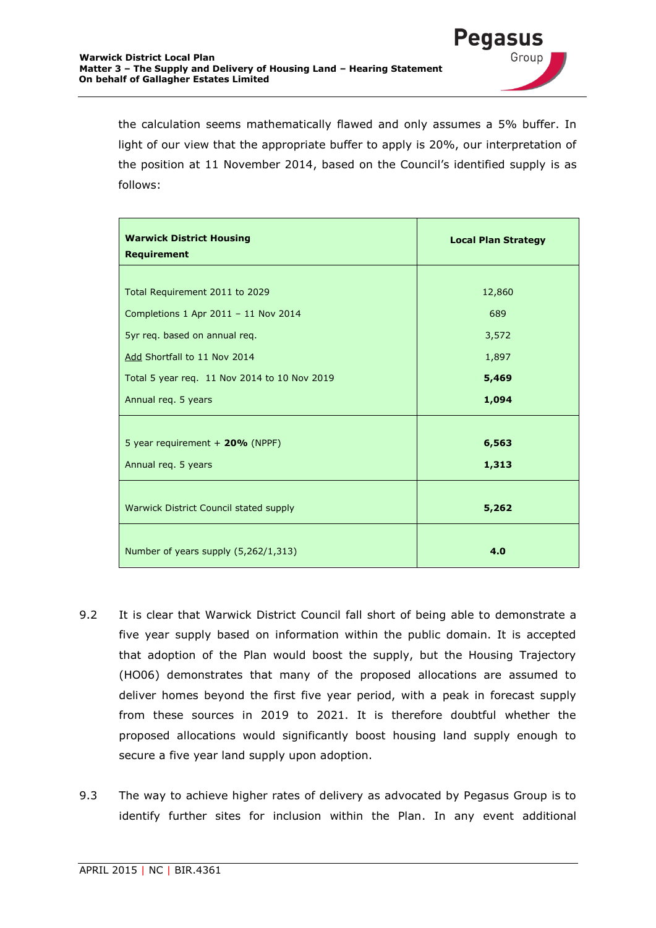

**Pegasus** 

Group

| <b>Local Plan Strategy</b><br>12,860 |  |  |  |
|--------------------------------------|--|--|--|
|                                      |  |  |  |
|                                      |  |  |  |
|                                      |  |  |  |
| 689                                  |  |  |  |
| 3,572                                |  |  |  |
| 1,897                                |  |  |  |
| 5,469                                |  |  |  |
| 1,094                                |  |  |  |
|                                      |  |  |  |
| 6,563                                |  |  |  |
| 1,313                                |  |  |  |
|                                      |  |  |  |
| 5,262                                |  |  |  |
| 4.0                                  |  |  |  |
|                                      |  |  |  |

- 9.2 It is clear that Warwick District Council fall short of being able to demonstrate a five year supply based on information within the public domain. It is accepted that adoption of the Plan would boost the supply, but the Housing Trajectory (HO06) demonstrates that many of the proposed allocations are assumed to deliver homes beyond the first five year period, with a peak in forecast supply from these sources in 2019 to 2021. It is therefore doubtful whether the proposed allocations would significantly boost housing land supply enough to secure a five year land supply upon adoption.
- 9.3 The way to achieve higher rates of delivery as advocated by Pegasus Group is to identify further sites for inclusion within the Plan. In any event additional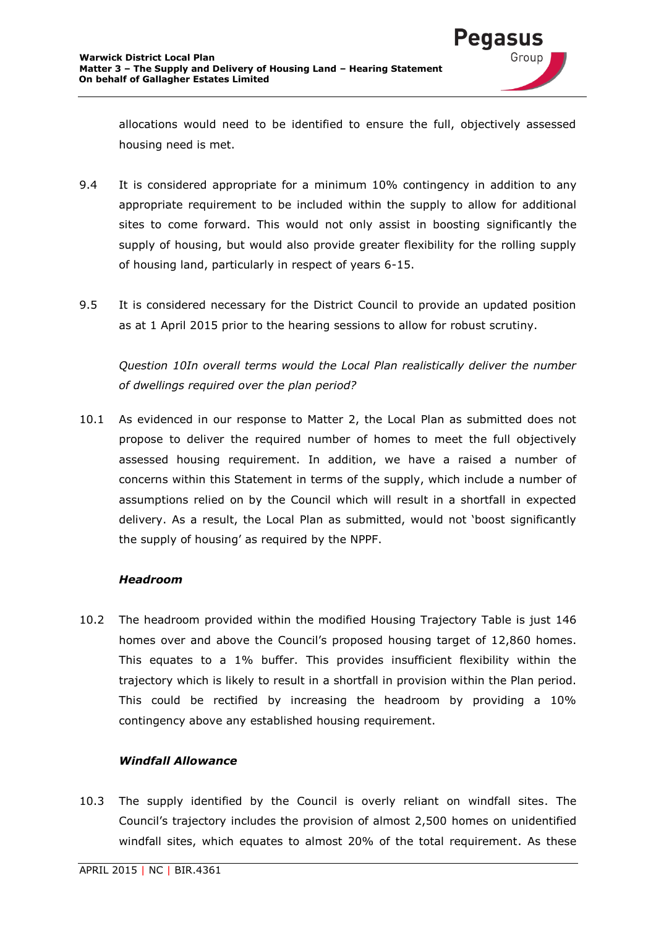

allocations would need to be identified to ensure the full, objectively assessed housing need is met.

- 9.4 It is considered appropriate for a minimum 10% contingency in addition to any appropriate requirement to be included within the supply to allow for additional sites to come forward. This would not only assist in boosting significantly the supply of housing, but would also provide greater flexibility for the rolling supply of housing land, particularly in respect of years 6-15.
- 9.5 It is considered necessary for the District Council to provide an updated position as at 1 April 2015 prior to the hearing sessions to allow for robust scrutiny.

*Question 10In overall terms would the Local Plan realistically deliver the number of dwellings required over the plan period?*

10.1 As evidenced in our response to Matter 2, the Local Plan as submitted does not propose to deliver the required number of homes to meet the full objectively assessed housing requirement. In addition, we have a raised a number of concerns within this Statement in terms of the supply, which include a number of assumptions relied on by the Council which will result in a shortfall in expected delivery. As a result, the Local Plan as submitted, would not 'boost significantly the supply of housing' as required by the NPPF.

#### *Headroom*

10.2 The headroom provided within the modified Housing Trajectory Table is just 146 homes over and above the Council's proposed housing target of 12,860 homes. This equates to a 1% buffer. This provides insufficient flexibility within the trajectory which is likely to result in a shortfall in provision within the Plan period. This could be rectified by increasing the headroom by providing a 10% contingency above any established housing requirement.

#### *Windfall Allowance*

10.3 The supply identified by the Council is overly reliant on windfall sites. The Council's trajectory includes the provision of almost 2,500 homes on unidentified windfall sites, which equates to almost 20% of the total requirement. As these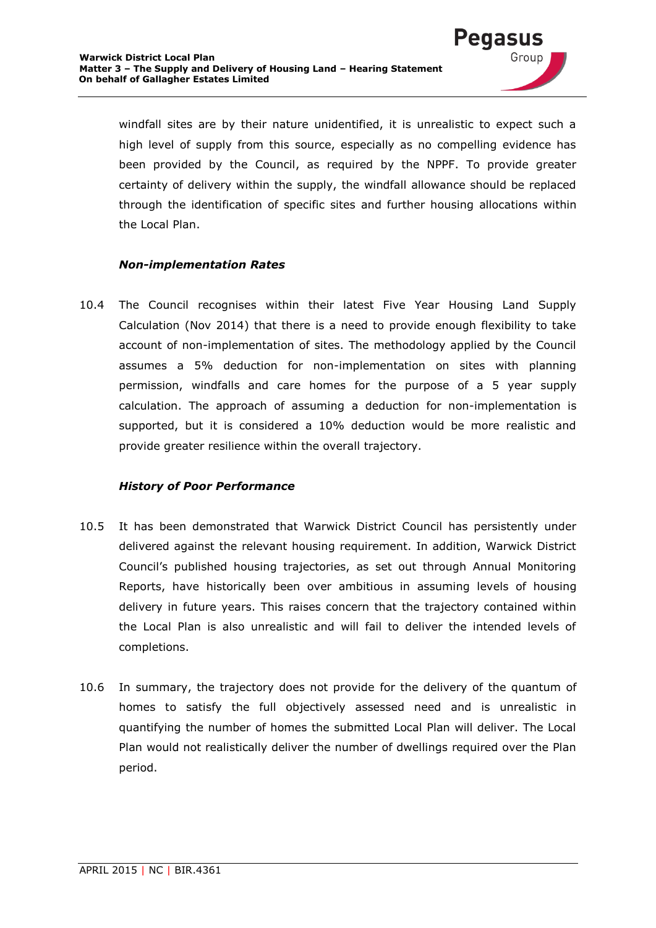windfall sites are by their nature unidentified, it is unrealistic to expect such a high level of supply from this source, especially as no compelling evidence has been provided by the Council, as required by the NPPF. To provide greater certainty of delivery within the supply, the windfall allowance should be replaced through the identification of specific sites and further housing allocations within the Local Plan.

'edasl

Group

#### *Non-implementation Rates*

10.4 The Council recognises within their latest Five Year Housing Land Supply Calculation (Nov 2014) that there is a need to provide enough flexibility to take account of non-implementation of sites. The methodology applied by the Council assumes a 5% deduction for non-implementation on sites with planning permission, windfalls and care homes for the purpose of a 5 year supply calculation. The approach of assuming a deduction for non-implementation is supported, but it is considered a 10% deduction would be more realistic and provide greater resilience within the overall trajectory.

#### *History of Poor Performance*

- 10.5 It has been demonstrated that Warwick District Council has persistently under delivered against the relevant housing requirement. In addition, Warwick District Council's published housing trajectories, as set out through Annual Monitoring Reports, have historically been over ambitious in assuming levels of housing delivery in future years. This raises concern that the trajectory contained within the Local Plan is also unrealistic and will fail to deliver the intended levels of completions.
- 10.6 In summary, the trajectory does not provide for the delivery of the quantum of homes to satisfy the full objectively assessed need and is unrealistic in quantifying the number of homes the submitted Local Plan will deliver. The Local Plan would not realistically deliver the number of dwellings required over the Plan period.